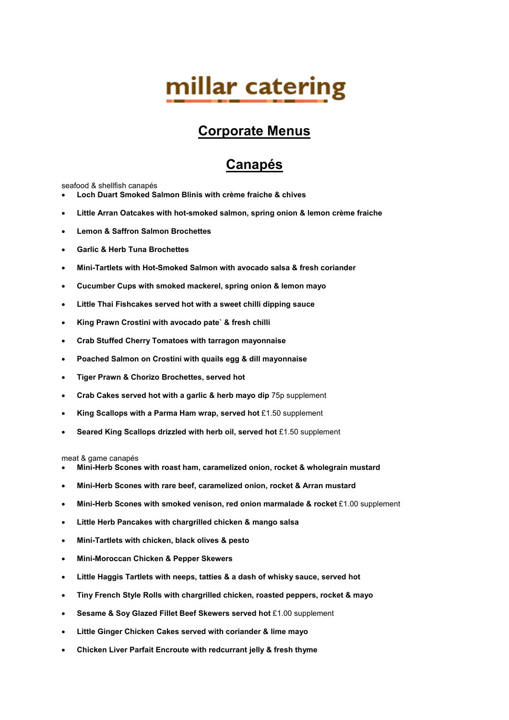# millar catering

### **Corporate Menus**

# **Canapés**

seafood & shellfish canapés

- **Loch Duart Smoked Salmon Blinis with crème fraiche & chives**
- **Little Arran Oatcakes with hot-smoked salmon, spring onion & lemon crème fraiche**
- **Lemon & Saffron Salmon Brochettes**
- **Garlic & Herb Tuna Brochettes**
- **Mini-Tartlets with Hot-Smoked Salmon with avocado salsa & fresh coriander**
- **Cucumber Cups with smoked mackerel, spring onion & lemon mayo**
- **Little Thai Fishcakes served hot with a sweet chilli dipping sauce**
- **King Prawn Crostini with avocado pate` & fresh chilli**
- **Crab Stuffed Cherry Tomatoes with tarragon mayonnaise**
- **Poached Salmon on Crostini with quails egg & dill mayonnaise**
- **Tiger Prawn & Chorizo Brochettes, served hot**
- **Crab Cakes served hot with a garlic & herb mayo dip** 75p supplement
- **King Scallops with a Parma Ham wrap, served hot** £1.50 supplement
- **Seared King Scallops drizzled with herb oil, served hot** £1.50 supplement

meat & game canapés

- **Mini-Herb Scones with roast ham, caramelized onion, rocket & wholegrain mustard**
- **Mini-Herb Scones with rare beef, caramelized onion, rocket & Arran mustard**
- **Mini-Herb Scones with smoked venison, red onion marmalade & rocket** £1.00 supplement
- **Little Herb Pancakes with chargrilled chicken & mango salsa**
- **Mini-Tartlets with chicken, black olives & pesto**
- **Mini-Moroccan Chicken & Pepper Skewers**
- **Little Haggis Tartlets with neeps, tatties & a dash of whisky sauce, served hot**
- **Tiny French Style Rolls with chargrilled chicken, roasted peppers, rocket & mayo**
- **Sesame & Soy Glazed Fillet Beef Skewers served hot** £1.00 supplement
- **Little Ginger Chicken Cakes served with coriander & lime mayo**
- **Chicken Liver Parfait Encroute with redcurrant jelly & fresh thyme**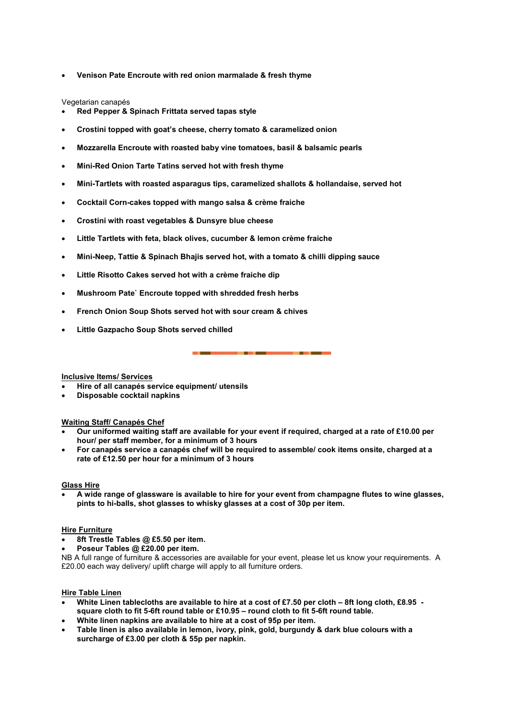• **Venison Pate Encroute with red onion marmalade & fresh thyme** 

Vegetarian canapés

- **Red Pepper & Spinach Frittata served tapas style**
- **Crostini topped with goat's cheese, cherry tomato & caramelized onion**
- **Mozzarella Encroute with roasted baby vine tomatoes, basil & balsamic pearls**
- **Mini-Red Onion Tarte Tatins served hot with fresh thyme**
- **Mini-Tartlets with roasted asparagus tips, caramelized shallots & hollandaise, served hot**
- **Cocktail Corn-cakes topped with mango salsa & crème fraiche**
- **Crostini with roast vegetables & Dunsyre blue cheese**
- **Little Tartlets with feta, black olives, cucumber & lemon crème fraiche**
- **Mini-Neep, Tattie & Spinach Bhajis served hot, with a tomato & chilli dipping sauce**
- **Little Risotto Cakes served hot with a crème fraiche dip**
- **Mushroom Pate` Encroute topped with shredded fresh herbs**
- **French Onion Soup Shots served hot with sour cream & chives**
- **Little Gazpacho Soup Shots served chilled**

#### **Inclusive Items/ Services**

- **Hire of all canapés service equipment/ utensils**
- **Disposable cocktail napkins**

#### **Waiting Staff/ Canapés Chef**

- **Our uniformed waiting staff are available for your event if required, charged at a rate of £10.00 per hour/ per staff member, for a minimum of 3 hours**
- **For canapés service a canapés chef will be required to assemble/ cook items onsite, charged at a rate of £12.50 per hour for a minimum of 3 hours**

#### **Glass Hire**

• **A wide range of glassware is available to hire for your event from champagne flutes to wine glasses, pints to hi-balls, shot glasses to whisky glasses at a cost of 30p per item.** 

#### **Hire Furniture**

- **8ft Trestle Tables @ £5.50 per item.**
- **Poseur Tables @ £20.00 per item.**

NB A full range of furniture & accessories are available for your event, please let us know your requirements. A £20.00 each way delivery/ uplift charge will apply to all furniture orders.

#### **Hire Table Linen**

- **White Linen tablecloths are available to hire at a cost of £7.50 per cloth 8ft long cloth, £8.95 square cloth to fit 5-6ft round table or £10.95 – round cloth to fit 5-6ft round table.**
- **White linen napkins are available to hire at a cost of 95p per item.**
- **Table linen is also available in lemon, ivory, pink, gold, burgundy & dark blue colours with a surcharge of £3.00 per cloth & 55p per napkin.**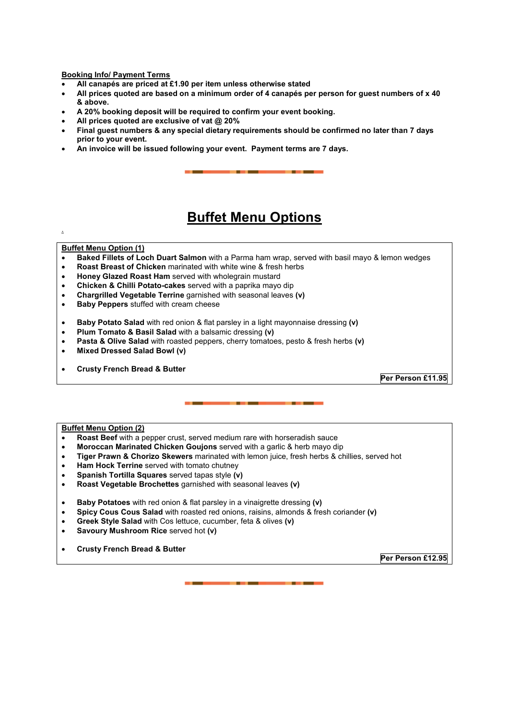#### **Booking Info/ Payment Terms**

- **All canapés are priced at £1.90 per item unless otherwise stated**
- **All prices quoted are based on a minimum order of 4 canapés per person for guest numbers of x 40 & above.**
- **A 20% booking deposit will be required to confirm your event booking.**
- **All prices quoted are exclusive of vat @ 20%**
- **Final guest numbers & any special dietary requirements should be confirmed no later than 7 days prior to your event.**
- **An invoice will be issued following your event. Payment terms are 7 days.**

### **Buffet Menu Options**

#### **Buffet Menu Option (1)**

.

- **Baked Fillets of Loch Duart Salmon** with a Parma ham wrap, served with basil mayo & lemon wedges
- **Roast Breast of Chicken** marinated with white wine & fresh herbs
- **Honey Glazed Roast Ham** served with wholegrain mustard
- **Chicken & Chilli Potato-cakes** served with a paprika mayo dip
- **Chargrilled Vegetable Terrine** garnished with seasonal leaves **(v)**
- **Baby Peppers** stuffed with cream cheese
- **Baby Potato Salad** with red onion & flat parsley in a light mayonnaise dressing **(v)**
- **Plum Tomato & Basil Salad** with a balsamic dressing **(v)**
- **Pasta & Olive Salad** with roasted peppers, cherry tomatoes, pesto & fresh herbs **(v)**
- **Mixed Dressed Salad Bowl (v)**
- **Crusty French Bread & Butter**

**Per Person £11.95** 

#### **Buffet Menu Option (2)**

- **Roast Beef** with a pepper crust, served medium rare with horseradish sauce
- **Moroccan Marinated Chicken Goujons** served with a garlic & herb mayo dip
- **Tiger Prawn & Chorizo Skewers** marinated with lemon juice, fresh herbs & chillies, served hot
- **Ham Hock Terrine** served with tomato chutney
- **Spanish Tortilla Squares** served tapas style **(v)**
- **Roast Vegetable Brochettes** garnished with seasonal leaves **(v)**
- **Baby Potatoes** with red onion & flat parsley in a vinaigrette dressing **(v)**
- **Spicy Cous Cous Salad** with roasted red onions, raisins, almonds & fresh coriander **(v)**
- **Greek Style Salad** with Cos lettuce, cucumber, feta & olives **(v)**
- **Savoury Mushroom Rice** served hot **(v)**
- **Crusty French Bread & Butter**

**Per Person £12.95**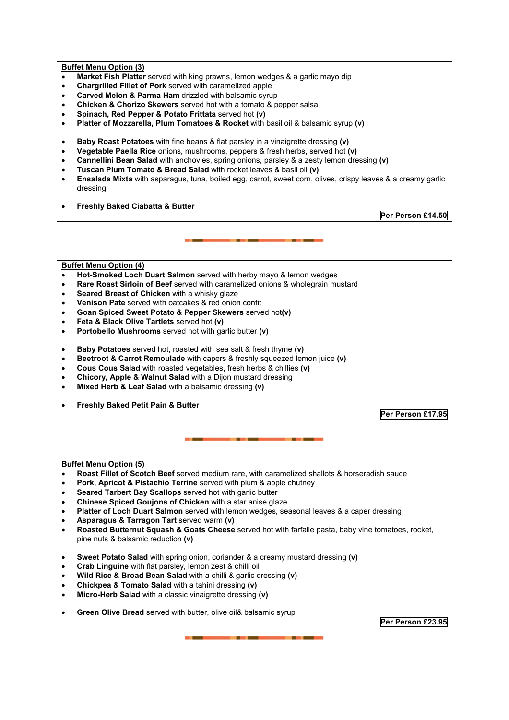#### **Buffet Menu Option (3)**

- **Market Fish Platter** served with king prawns, lemon wedges & a garlic mayo dip
- **Chargrilled Fillet of Pork** served with caramelized apple
- **Carved Melon & Parma Ham** drizzled with balsamic syrup
- **Chicken & Chorizo Skewers** served hot with a tomato & pepper salsa
- **Spinach, Red Pepper & Potato Frittata** served hot **(v)**
- **Platter of Mozzarella, Plum Tomatoes & Rocket** with basil oil & balsamic syrup **(v)**
- **Baby Roast Potatoes** with fine beans & flat parsley in a vinaigrette dressing **(v)**
- **Vegetable Paella Rice** onions, mushrooms, peppers & fresh herbs, served hot **(v)**
- **Cannellini Bean Salad** with anchovies, spring onions, parsley & a zesty lemon dressing **(v)**
- **Tuscan Plum Tomato & Bread Salad** with rocket leaves & basil oil **(v)**
- **Ensalada Mixta** with asparagus, tuna, boiled egg, carrot, sweet corn, olives, crispy leaves & a creamy garlic dressing
- **Freshly Baked Ciabatta & Butter**

**Per Person £14.50** 

#### **Buffet Menu Option (4)**

- **Hot-Smoked Loch Duart Salmon** served with herby mayo & lemon wedges
- **Rare Roast Sirloin of Beef** served with caramelized onions & wholegrain mustard
- **Seared Breast of Chicken** with a whisky glaze
- **Venison Pate** served with oatcakes & red onion confit
- **Goan Spiced Sweet Potato & Pepper Skewers** served hot**(v)**
- **Feta & Black Olive Tartlets** served hot **(v)**
- **Portobello Mushrooms** served hot with garlic butter **(v)**
- **Baby Potatoes** served hot, roasted with sea salt & fresh thyme **(v)**
- **Beetroot & Carrot Remoulade** with capers & freshly squeezed lemon juice **(v)**
- **Cous Cous Salad** with roasted vegetables, fresh herbs & chillies **(v)**
- **Chicory, Apple & Walnut Salad** with a Dijon mustard dressing
- **Mixed Herb & Leaf Salad** with a balsamic dressing **(v)**
- **Freshly Baked Petit Pain & Butter**

**Per Person £17.95** 

#### **Buffet Menu Option (5)**

- **Roast Fillet of Scotch Beef** served medium rare, with caramelized shallots & horseradish sauce
- **Pork, Apricot & Pistachio Terrine** served with plum & apple chutney
- **Seared Tarbert Bay Scallops** served hot with garlic butter
- **Chinese Spiced Goujons of Chicken** with a star anise glaze
- **Platter of Loch Duart Salmon** served with lemon wedges, seasonal leaves & a caper dressing
- **Asparagus & Tarragon Tart** served warm **(v)**
- **Roasted Butternut Squash & Goats Cheese** served hot with farfalle pasta, baby vine tomatoes, rocket, pine nuts & balsamic reduction **(v)**
- **Sweet Potato Salad** with spring onion, coriander & a creamy mustard dressing **(v)**
- **Crab Linguine** with flat parsley, lemon zest & chilli oil
- **Wild Rice & Broad Bean Salad** with a chilli & garlic dressing **(v)**
- **Chickpea & Tomato Salad** with a tahini dressing **(v)**
- **Micro-Herb Salad** with a classic vinaigrette dressing **(v)**
- **Green Olive Bread** served with butter, olive oil& balsamic syrup

**Per Person £23.95**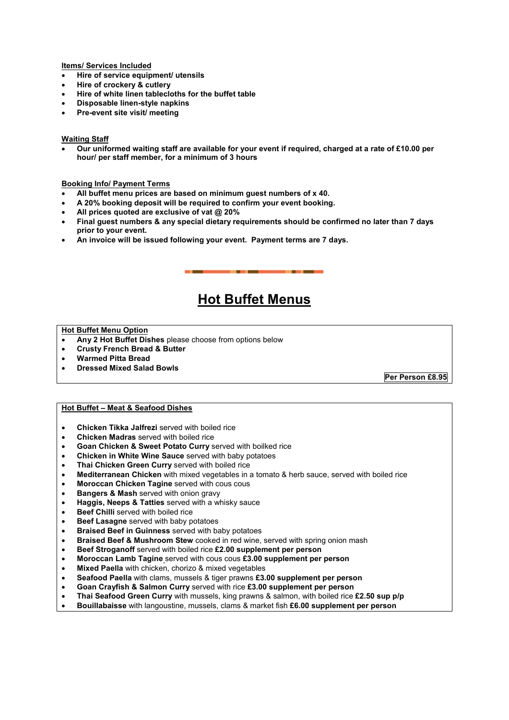**Items/ Services Included**

- **Hire of service equipment/ utensils**
- **Hire of crockery & cutlery**
- **Hire of white linen tablecloths for the buffet table**
- **Disposable linen-style napkins**
- **Pre-event site visit/ meeting**

#### **Waiting Staff**

• **Our uniformed waiting staff are available for your event if required, charged at a rate of £10.00 per hour/ per staff member, for a minimum of 3 hours** 

#### **Booking Info/ Payment Terms**

- **All buffet menu prices are based on minimum guest numbers of x 40.**
- **A 20% booking deposit will be required to confirm your event booking.**
- **All prices quoted are exclusive of vat @ 20%**
- **Final guest numbers & any special dietary requirements should be confirmed no later than 7 days prior to your event.**
- **An invoice will be issued following your event. Payment terms are 7 days.**

### **Hot Buffet Menus**

#### **Hot Buffet Menu Option**

- **Any 2 Hot Buffet Dishes** please choose from options below
- **Crusty French Bread & Butter**
- **Warmed Pitta Bread**
- **Dressed Mixed Salad Bowls**

**Per Person £8.95** 

#### **Hot Buffet – Meat & Seafood Dishes**

- **Chicken Tikka Jalfrezi** served with boiled rice
- **Chicken Madras** served with boiled rice
- **Goan Chicken & Sweet Potato Curry** served with boilked rice
- **Chicken in White Wine Sauce** served with baby potatoes
- **Thai Chicken Green Curry** served with boiled rice
- **Mediterranean Chicken** with mixed vegetables in a tomato & herb sauce, served with boiled rice
- **Moroccan Chicken Tagine** served with cous cous
- **Bangers & Mash served with onion gravy**
- **Haggis, Neeps & Tatties** served with a whisky sauce
- **Beef Chilli** served with boiled rice
- **Beef Lasagne** served with baby potatoes
- **Braised Beef in Guinness** served with baby potatoes
- **Braised Beef & Mushroom Stew** cooked in red wine, served with spring onion mash
- **Beef Stroganoff** served with boiled rice **£2.00 supplement per person**
- **Moroccan Lamb Tagine** served with cous cous **£3.00 supplement per person**
- **Mixed Paella** with chicken, chorizo & mixed vegetables
- **Seafood Paella** with clams, mussels & tiger prawns **£3.00 supplement per person**
- **Goan Crayfish & Salmon Curry** served with rice **£3.00 supplement per person**
- **Thai Seafood Green Curry** with mussels, king prawns & salmon, with boiled rice **£2.50 sup p/p**
- **Bouillabaisse** with langoustine, mussels, clams & market fish **£6.00 supplement per person**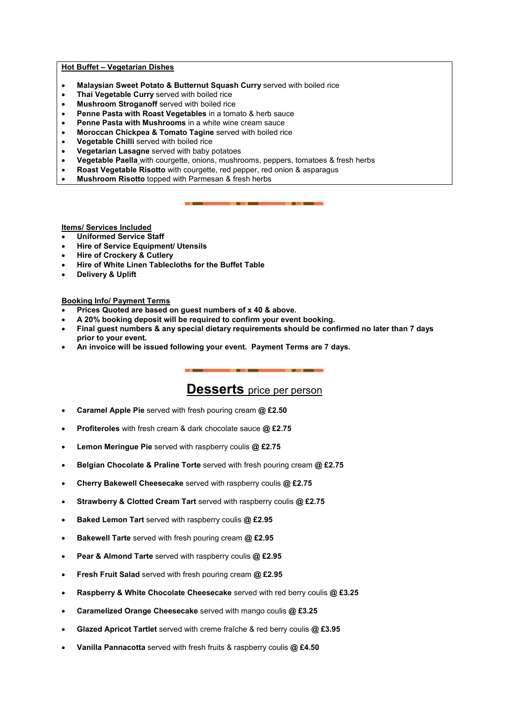#### **Hot Buffet – Vegetarian Dishes**

- **Malaysian Sweet Potato & Butternut Squash Curry** served with boiled rice
- **Thai Vegetable Curry** served with boiled rice
- **Mushroom Stroganoff** served with boiled rice
- **Penne Pasta with Roast Vegetables** in a tomato & herb sauce
- **Penne Pasta with Mushrooms** in a white wine cream sauce
- **Moroccan Chickpea & Tomato Tagine** served with boiled rice
- **Vegetable Chilli** served with boiled rice
- **Vegetarian Lasagne** served with baby potatoes
- **Vegetable Paella** with courgette, onions, mushrooms, peppers, tomatoes & fresh herbs
- **Roast Vegetable Risotto** with courgette, red pepper, red onion & asparagus
- **Mushroom Risotto** topped with Parmesan & fresh herbs

**Items/ Services Included**

- **Uniformed Service Staff**
- **Hire of Service Equipment/ Utensils**
- **Hire of Crockery & Cutlery**
- **Hire of White Linen Tablecloths for the Buffet Table**
- **Delivery & Uplift**

#### **Booking Info/ Payment Terms**

- **Prices Quoted are based on guest numbers of x 40 & above.**
- **A 20% booking deposit will be required to confirm your event booking.**
- **Final guest numbers & any special dietary requirements should be confirmed no later than 7 days prior to your event.**
- **An invoice will be issued following your event. Payment Terms are 7 days.**

### **Desserts** price per person

- **Caramel Apple Pie** served with fresh pouring cream **@ £2.50**
- **Profiteroles** with fresh cream & dark chocolate sauce **@ £2.75**
- **Lemon Meringue Pie** served with raspberry coulis **@ £2.75**
- **Belgian Chocolate & Praline Torte** served with fresh pouring cream **@ £2.75**
- **Cherry Bakewell Cheesecake** served with raspberry coulis **@ £2.75**
- **Strawberry & Clotted Cream Tart** served with raspberry coulis **@ £2.75**
- **Baked Lemon Tart** served with raspberry coulis **@ £2.95**
- **Bakewell Tarte** served with fresh pouring cream **@ £2.95**
- **Pear & Almond Tarte** served with raspberry coulis **@ £2.95**
- **Fresh Fruit Salad** served with fresh pouring cream **@ £2.95**
- **Raspberry & White Chocolate Cheesecake** served with red berry coulis **@ £3.25**
- **Caramelized Orange Cheesecake** served with mango coulis **@ £3.25**
- **Glazed Apricot Tartlet** served with creme fraîche & red berry coulis **@ £3.95**
- **Vanilla Pannacotta** served with fresh fruits & raspberry coulis **@ £4.50**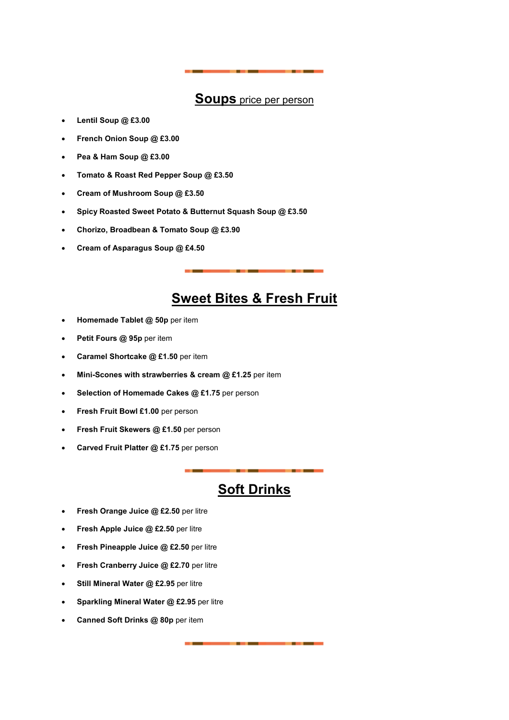### **Soups** price per person

- **Lentil Soup @ £3.00**
- **French Onion Soup @ £3.00**
- **Pea & Ham Soup @ £3.00**
- **Tomato & Roast Red Pepper Soup @ £3.50**
- **Cream of Mushroom Soup @ £3.50**
- **Spicy Roasted Sweet Potato & Butternut Squash Soup @ £3.50**
- **Chorizo, Broadbean & Tomato Soup @ £3.90**
- **Cream of Asparagus Soup @ £4.50**

### **Sweet Bites & Fresh Fruit**

- **Homemade Tablet @ 50p** per item
- **Petit Fours @ 95p** per item
- **Caramel Shortcake @ £1.50** per item
- **Mini-Scones with strawberries & cream @ £1.25** per item
- **Selection of Homemade Cakes @ £1.75** per person
- **Fresh Fruit Bowl £1.00** per person
- **Fresh Fruit Skewers @ £1.50** per person
- **Carved Fruit Platter @ £1.75** per person

### **Soft Drinks**

- **Fresh Orange Juice @ £2.50** per litre
- **Fresh Apple Juice @ £2.50** per litre
- **Fresh Pineapple Juice @ £2.50** per litre
- **Fresh Cranberry Juice @ £2.70** per litre
- **Still Mineral Water @ £2.95** per litre
- **Sparkling Mineral Water @ £2.95** per litre
- **Canned Soft Drinks @ 80p** per item